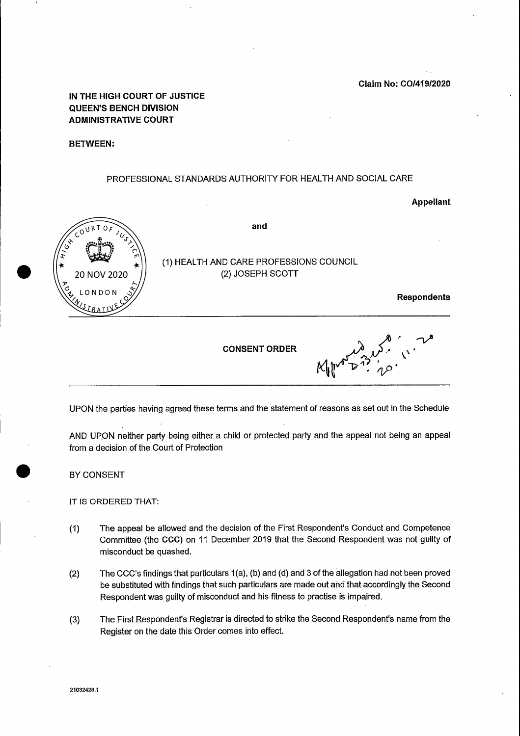Claim No: COI419/2020

IN THE HIGH COURT OF JUSTICE QUEEN'S BENCH DIVISION ADMINISTRATIVE COURT

BETWEEN:

### PROFESSIONAL STANDARDS AUTHORITY FOR HEALTH AND SOCIAL CARE

 $\mathcal{A}$ 

#### Appellant





UPON the parties having agreed these terms and the statement of reasons as set out in the Schedule

AND UPON neither party being either a child or protected party and the appeal not being an appeal from a decision of the Court of Protection

BY CONSENT

IT IS ORDERED THAT:

- (2) The CCC's findings that particulars  $1(a)$ , (b) and (d) and 3 of the allegation had not been proved be substituted with findings that such particulars are made out ahd that accordingly the Second Respondent was guilty of misconduct and his fitness to practise is impaired.
- (3) The First Respondent's Registrar is directed to strike the Second Respondent's name from the Register on the date this Order comes into effect.

(1 The appeal be allowed and the decision of the First Respondent's Conduct and Competence Committee (the CCC) on <sup>11</sup> December <sup>2019</sup> that the Second Respondent was not guilty of misconduct be quashed.

21032428.1